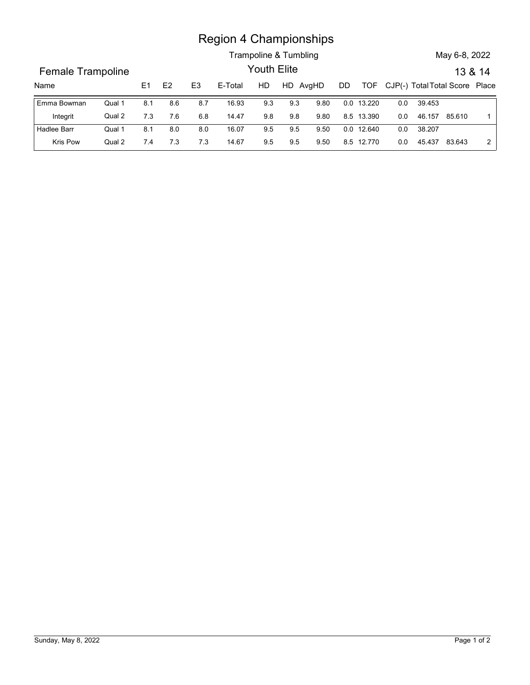## Region 4 Championships

|                   |        |                |     |                | <b>Region 4 Championships</b> |             |                       |      |            |            |         |                                    |               |                |
|-------------------|--------|----------------|-----|----------------|-------------------------------|-------------|-----------------------|------|------------|------------|---------|------------------------------------|---------------|----------------|
|                   |        |                |     |                |                               |             | Trampoline & Tumbling |      |            |            |         |                                    | May 6-8, 2022 |                |
| Female Trampoline |        |                |     |                |                               | Youth Elite |                       |      |            |            |         |                                    |               | 13 & 14        |
| Name              |        | E <sub>1</sub> | E2  | E <sub>3</sub> | E-Total                       | HD          | HD AvgHD              |      | DD         |            |         | TOF CJP(-) Total Total Score Place |               |                |
| Emma Bowman       | Qual 1 | 8.1            | 8.6 | 8.7            | 16.93                         | 9.3         | 9.3                   | 9.80 | 0.0 13.220 |            | $0.0\,$ | 39.453                             |               |                |
| Integrit          | Qual 2 | 7.3            | 7.6 | 6.8            | 14.47                         | 9.8         | $9.8\,$               | 9.80 | 8.5 13.390 |            | 0.0     | 46.157 85.610                      |               | $\overline{1}$ |
| Hadlee Barr       | Qual 1 | 8.1            | 8.0 | 8.0            | 16.07                         | 9.5         | $9.5\,$               | 9.50 |            | 0.0 12.640 | 0.0     | 38.207                             |               |                |